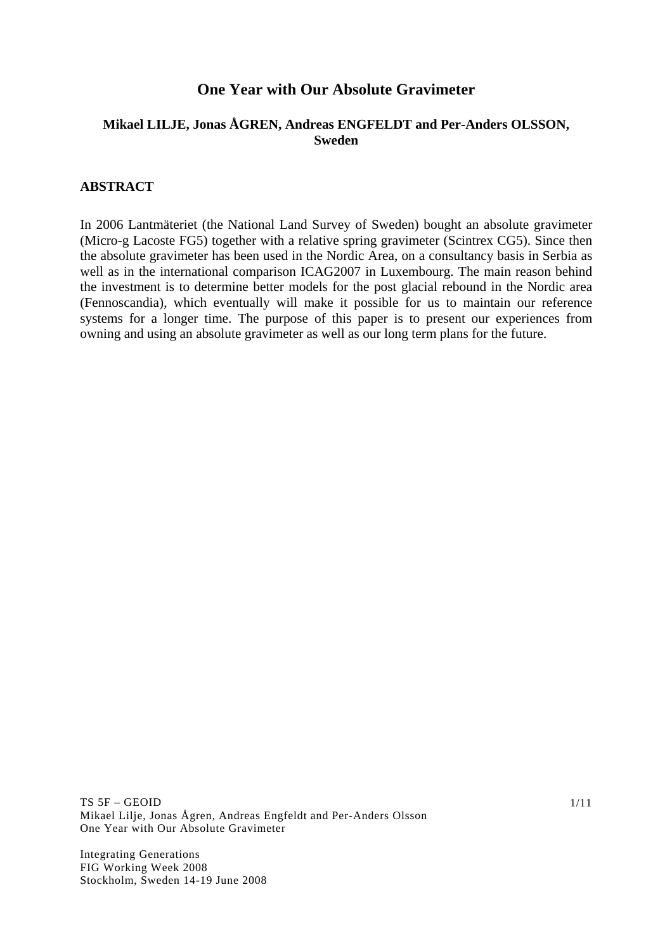# **One Year with Our Absolute Gravimeter**

# **Mikael LILJE, Jonas ÅGREN, Andreas ENGFELDT and Per-Anders OLSSON, Sweden**

#### **ABSTRACT**

In 2006 Lantmäteriet (the National Land Survey of Sweden) bought an absolute gravimeter (Micro-g Lacoste FG5) together with a relative spring gravimeter (Scintrex CG5). Since then the absolute gravimeter has been used in the Nordic Area, on a consultancy basis in Serbia as well as in the international comparison ICAG2007 in Luxembourg. The main reason behind the investment is to determine better models for the post glacial rebound in the Nordic area (Fennoscandia), which eventually will make it possible for us to maintain our reference systems for a longer time. The purpose of this paper is to present our experiences from owning and using an absolute gravimeter as well as our long term plans for the future.

TS 5F – GEOID Mikael Lilje, Jonas Ågren, Andreas Engfeldt and Per-Anders Olsson One Year with Our Absolute Gravimeter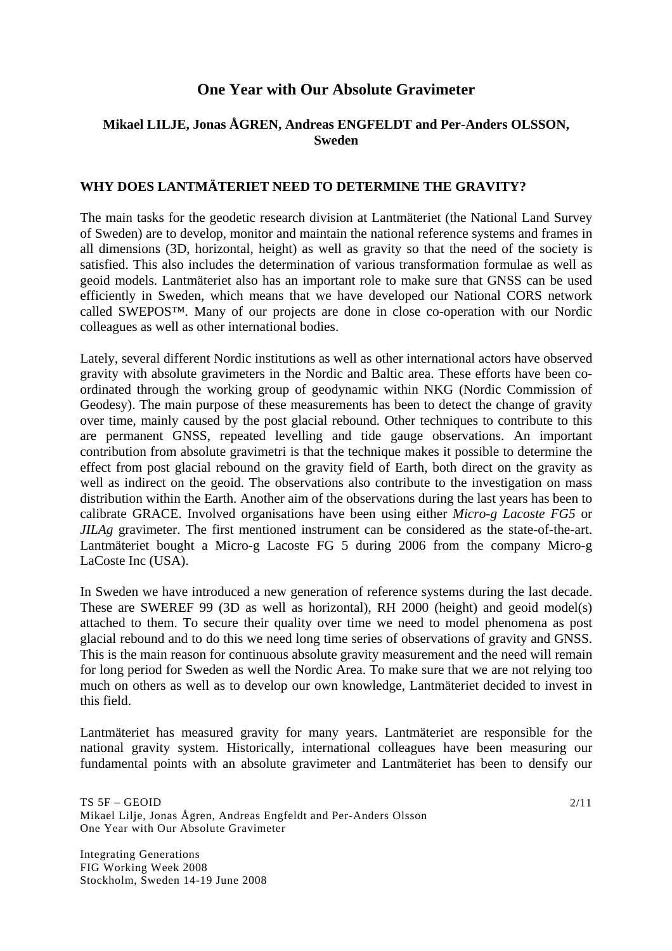# **One Year with Our Absolute Gravimeter**

# **Mikael LILJE, Jonas ÅGREN, Andreas ENGFELDT and Per-Anders OLSSON, Sweden**

### **WHY DOES LANTMÄTERIET NEED TO DETERMINE THE GRAVITY?**

The main tasks for the geodetic research division at Lantmäteriet (the National Land Survey of Sweden) are to develop, monitor and maintain the national reference systems and frames in all dimensions (3D, horizontal, height) as well as gravity so that the need of the society is satisfied. This also includes the determination of various transformation formulae as well as geoid models. Lantmäteriet also has an important role to make sure that GNSS can be used efficiently in Sweden, which means that we have developed our National CORS network called SWEPOS™. Many of our projects are done in close co-operation with our Nordic colleagues as well as other international bodies.

Lately, several different Nordic institutions as well as other international actors have observed gravity with absolute gravimeters in the Nordic and Baltic area. These efforts have been coordinated through the working group of geodynamic within NKG (Nordic Commission of Geodesy). The main purpose of these measurements has been to detect the change of gravity over time, mainly caused by the post glacial rebound. Other techniques to contribute to this are permanent GNSS, repeated levelling and tide gauge observations. An important contribution from absolute gravimetri is that the technique makes it possible to determine the effect from post glacial rebound on the gravity field of Earth, both direct on the gravity as well as indirect on the geoid. The observations also contribute to the investigation on mass distribution within the Earth. Another aim of the observations during the last years has been to calibrate GRACE. Involved organisations have been using either *Micro-g Lacoste FG5* or *JILAg* gravimeter. The first mentioned instrument can be considered as the state-of-the-art. Lantmäteriet bought a Micro-g Lacoste FG 5 during 2006 from the company Micro-g LaCoste Inc (USA).

In Sweden we have introduced a new generation of reference systems during the last decade. These are SWEREF 99 (3D as well as horizontal), RH 2000 (height) and geoid model(s) attached to them. To secure their quality over time we need to model phenomena as post glacial rebound and to do this we need long time series of observations of gravity and GNSS. This is the main reason for continuous absolute gravity measurement and the need will remain for long period for Sweden as well the Nordic Area. To make sure that we are not relying too much on others as well as to develop our own knowledge, Lantmäteriet decided to invest in this field.

Lantmäteriet has measured gravity for many years. Lantmäteriet are responsible for the national gravity system. Historically, international colleagues have been measuring our fundamental points with an absolute gravimeter and Lantmäteriet has been to densify our

Integrating Generations FIG Working Week 2008 Stockholm, Sweden 14-19 June 2008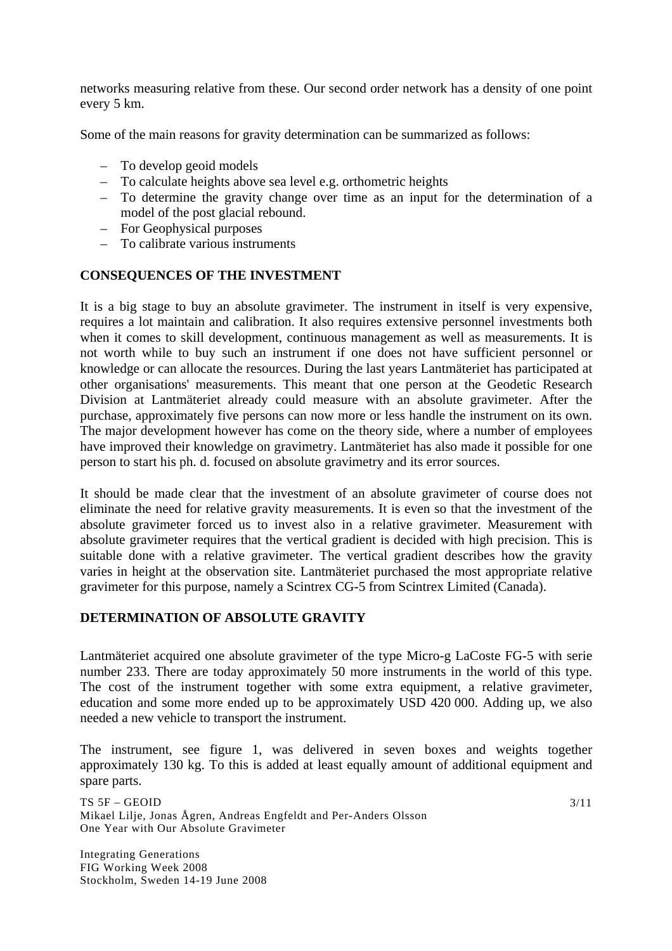networks measuring relative from these. Our second order network has a density of one point every 5 km.

Some of the main reasons for gravity determination can be summarized as follows:

- To develop geoid models
- To calculate heights above sea level e.g. orthometric heights
- To determine the gravity change over time as an input for the determination of a model of the post glacial rebound.
- For Geophysical purposes
- To calibrate various instruments

# **CONSEQUENCES OF THE INVESTMENT**

It is a big stage to buy an absolute gravimeter. The instrument in itself is very expensive, requires a lot maintain and calibration. It also requires extensive personnel investments both when it comes to skill development, continuous management as well as measurements. It is not worth while to buy such an instrument if one does not have sufficient personnel or knowledge or can allocate the resources. During the last years Lantmäteriet has participated at other organisations' measurements. This meant that one person at the Geodetic Research Division at Lantmäteriet already could measure with an absolute gravimeter. After the purchase, approximately five persons can now more or less handle the instrument on its own. The major development however has come on the theory side, where a number of employees have improved their knowledge on gravimetry. Lantmäteriet has also made it possible for one person to start his ph. d. focused on absolute gravimetry and its error sources.

It should be made clear that the investment of an absolute gravimeter of course does not eliminate the need for relative gravity measurements. It is even so that the investment of the absolute gravimeter forced us to invest also in a relative gravimeter. Measurement with absolute gravimeter requires that the vertical gradient is decided with high precision. This is suitable done with a relative gravimeter. The vertical gradient describes how the gravity varies in height at the observation site. Lantmäteriet purchased the most appropriate relative gravimeter for this purpose, namely a Scintrex CG-5 from Scintrex Limited (Canada).

# **DETERMINATION OF ABSOLUTE GRAVITY**

Lantmäteriet acquired one absolute gravimeter of the type Micro-g LaCoste FG-5 with serie number 233. There are today approximately 50 more instruments in the world of this type. The cost of the instrument together with some extra equipment, a relative gravimeter, education and some more ended up to be approximately USD 420 000. Adding up, we also needed a new vehicle to transport the instrument.

The instrument, see figure 1, was delivered in seven boxes and weights together approximately 130 kg. To this is added at least equally amount of additional equipment and spare parts.

TS 5F – GEOID Mikael Lilje, Jonas Ågren, Andreas Engfeldt and Per-Anders Olsson One Year with Our Absolute Gravimeter

Integrating Generations FIG Working Week 2008 Stockholm, Sweden 14-19 June 2008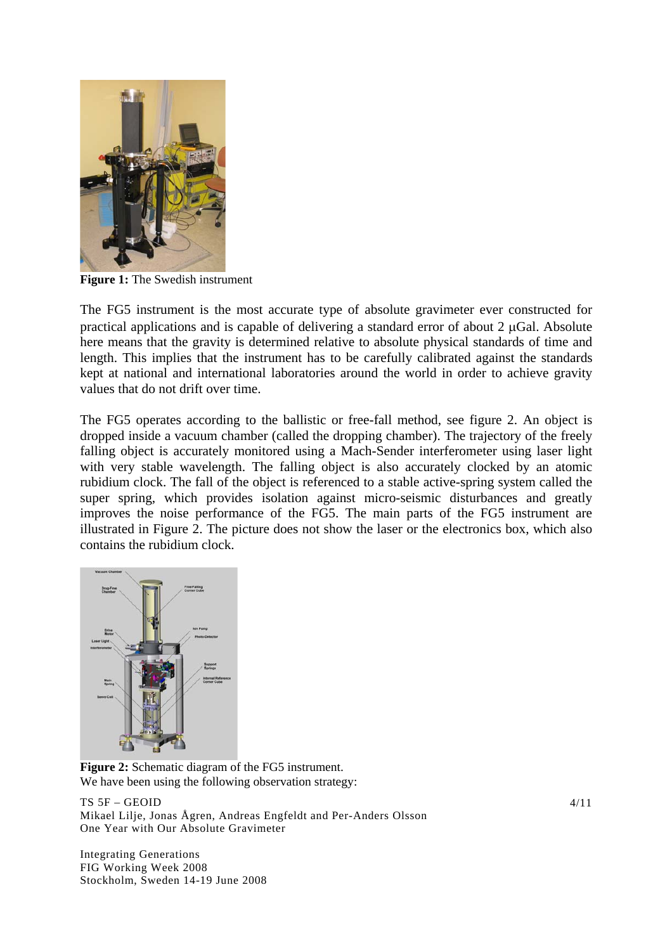

**Figure 1:** The Swedish instrument

The FG5 instrument is the most accurate type of absolute gravimeter ever constructed for practical applications and is capable of delivering a standard error of about 2 μGal. Absolute here means that the gravity is determined relative to absolute physical standards of time and length. This implies that the instrument has to be carefully calibrated against the standards kept at national and international laboratories around the world in order to achieve gravity values that do not drift over time.

The FG5 operates according to the ballistic or free-fall method, see figure 2. An object is dropped inside a vacuum chamber (called the dropping chamber). The trajectory of the freely falling object is accurately monitored using a Mach-Sender interferometer using laser light with very stable wavelength. The falling object is also accurately clocked by an atomic rubidium clock. The fall of the object is referenced to a stable active-spring system called the super spring, which provides isolation against micro-seismic disturbances and greatly improves the noise performance of the FG5. The main parts of the FG5 instrument are illustrated in Figure 2. The picture does not show the laser or the electronics box, which also contains the rubidium clock.



**Figure 2:** Schematic diagram of the FG5 instrument. We have been using the following observation strategy:

TS 5F – GEOID Mikael Lilje, Jonas Ågren, Andreas Engfeldt and Per-Anders Olsson One Year with Our Absolute Gravimeter

Integrating Generations FIG Working Week 2008 Stockholm, Sweden 14-19 June 2008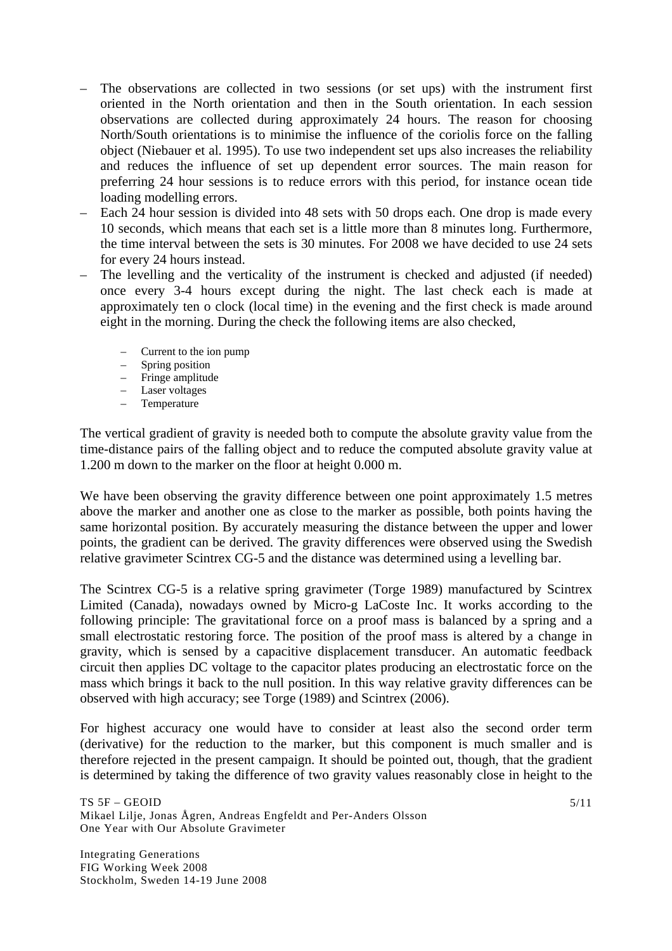- The observations are collected in two sessions (or set ups) with the instrument first oriented in the North orientation and then in the South orientation. In each session observations are collected during approximately 24 hours. The reason for choosing North/South orientations is to minimise the influence of the coriolis force on the falling object (Niebauer et al. 1995). To use two independent set ups also increases the reliability and reduces the influence of set up dependent error sources. The main reason for preferring 24 hour sessions is to reduce errors with this period, for instance ocean tide loading modelling errors.
- Each 24 hour session is divided into 48 sets with 50 drops each. One drop is made every 10 seconds, which means that each set is a little more than 8 minutes long. Furthermore, the time interval between the sets is 30 minutes. For 2008 we have decided to use 24 sets for every 24 hours instead.
- The levelling and the verticality of the instrument is checked and adjusted (if needed) once every 3-4 hours except during the night. The last check each is made at approximately ten o clock (local time) in the evening and the first check is made around eight in the morning. During the check the following items are also checked,
	- Current to the ion pump
	- Spring position
	- Fringe amplitude
	- Laser voltages
	- Temperature

The vertical gradient of gravity is needed both to compute the absolute gravity value from the time-distance pairs of the falling object and to reduce the computed absolute gravity value at 1.200 m down to the marker on the floor at height 0.000 m.

We have been observing the gravity difference between one point approximately 1.5 metres above the marker and another one as close to the marker as possible, both points having the same horizontal position. By accurately measuring the distance between the upper and lower points, the gradient can be derived. The gravity differences were observed using the Swedish relative gravimeter Scintrex CG-5 and the distance was determined using a levelling bar.

The Scintrex CG-5 is a relative spring gravimeter (Torge 1989) manufactured by Scintrex Limited (Canada), nowadays owned by Micro-g LaCoste Inc. It works according to the following principle: The gravitational force on a proof mass is balanced by a spring and a small electrostatic restoring force. The position of the proof mass is altered by a change in gravity, which is sensed by a capacitive displacement transducer. An automatic feedback circuit then applies DC voltage to the capacitor plates producing an electrostatic force on the mass which brings it back to the null position. In this way relative gravity differences can be observed with high accuracy; see Torge (1989) and Scintrex (2006).

For highest accuracy one would have to consider at least also the second order term (derivative) for the reduction to the marker, but this component is much smaller and is therefore rejected in the present campaign. It should be pointed out, though, that the gradient is determined by taking the difference of two gravity values reasonably close in height to the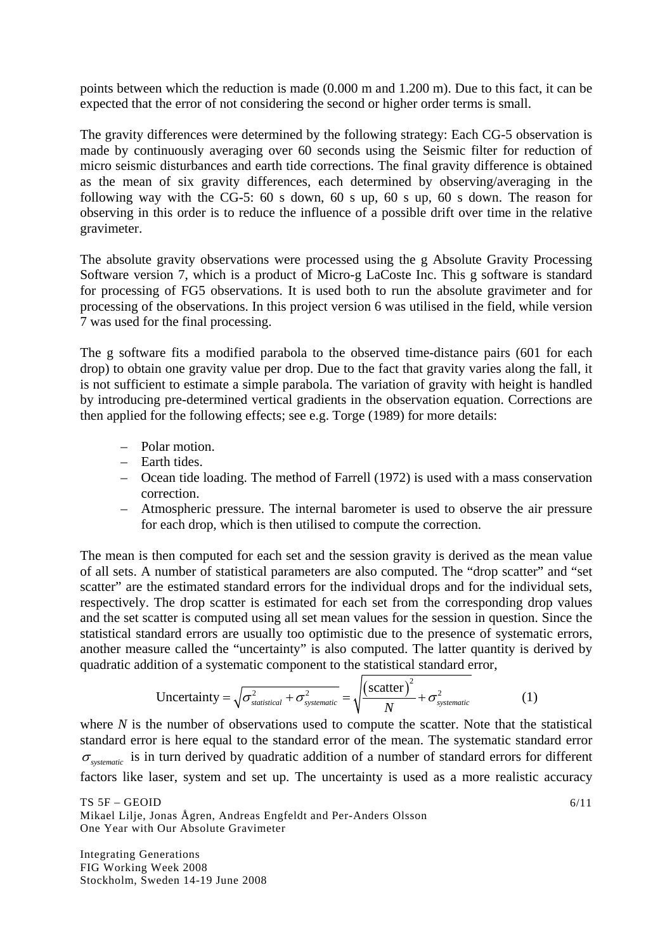points between which the reduction is made (0.000 m and 1.200 m). Due to this fact, it can be expected that the error of not considering the second or higher order terms is small.

The gravity differences were determined by the following strategy: Each CG-5 observation is made by continuously averaging over 60 seconds using the Seismic filter for reduction of micro seismic disturbances and earth tide corrections. The final gravity difference is obtained as the mean of six gravity differences, each determined by observing/averaging in the following way with the CG-5: 60 s down, 60 s up, 60 s up, 60 s down. The reason for observing in this order is to reduce the influence of a possible drift over time in the relative gravimeter.

The absolute gravity observations were processed using the g Absolute Gravity Processing Software version 7, which is a product of Micro-g LaCoste Inc. This g software is standard for processing of FG5 observations. It is used both to run the absolute gravimeter and for processing of the observations. In this project version 6 was utilised in the field, while version 7 was used for the final processing.

The g software fits a modified parabola to the observed time-distance pairs (601 for each drop) to obtain one gravity value per drop. Due to the fact that gravity varies along the fall, it is not sufficient to estimate a simple parabola. The variation of gravity with height is handled by introducing pre-determined vertical gradients in the observation equation. Corrections are then applied for the following effects; see e.g. Torge (1989) for more details:

- Polar motion.
- Earth tides.
- Ocean tide loading. The method of Farrell (1972) is used with a mass conservation correction.
- Atmospheric pressure. The internal barometer is used to observe the air pressure for each drop, which is then utilised to compute the correction.

The mean is then computed for each set and the session gravity is derived as the mean value of all sets. A number of statistical parameters are also computed. The "drop scatter" and "set scatter" are the estimated standard errors for the individual drops and for the individual sets, respectively. The drop scatter is estimated for each set from the corresponding drop values and the set scatter is computed using all set mean values for the session in question. Since the statistical standard errors are usually too optimistic due to the presence of systematic errors, another measure called the "uncertainty" is also computed. The latter quantity is derived by quadratic addition of a systematic component to the statistical standard error,

Uncertainty = 
$$
\sqrt{\sigma_{statistical}^2 + \sigma_{systematic}^2}
$$
 =  $\sqrt{\frac{(\text{scatter})^2}{N} + \sigma_{systematic}^2}$  (1)

where *N* is the number of observations used to compute the scatter. Note that the statistical standard error is here equal to the standard error of the mean. The systematic standard error <sup>σ</sup> *systematic* is in turn derived by quadratic addition of a number of standard errors for different factors like laser, system and set up. The uncertainty is used as a more realistic accuracy

TS 5F – GEOID Mikael Lilje, Jonas Ågren, Andreas Engfeldt and Per-Anders Olsson One Year with Our Absolute Gravimeter

Integrating Generations FIG Working Week 2008 Stockholm, Sweden 14-19 June 2008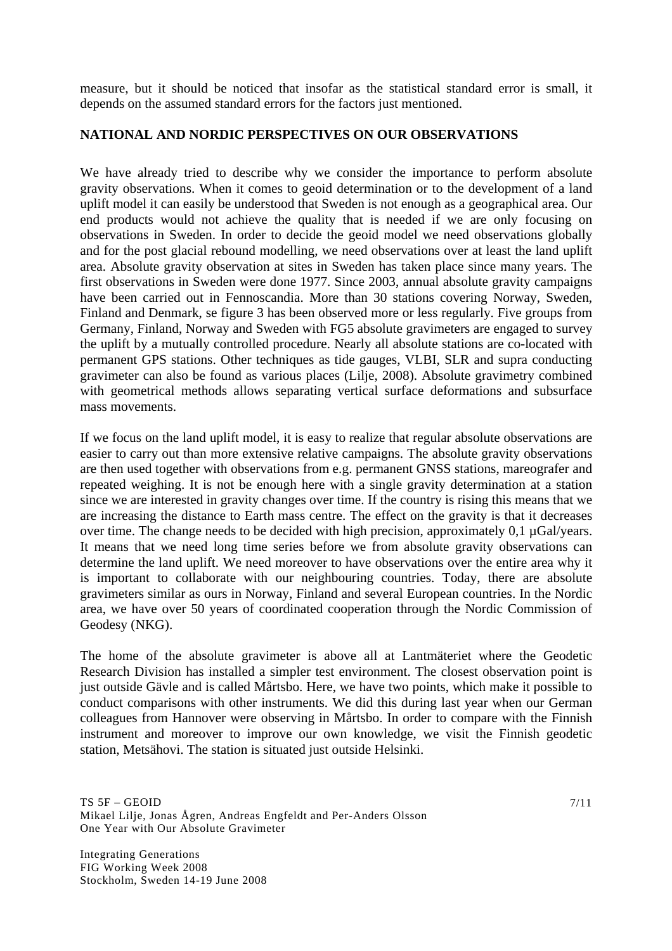measure, but it should be noticed that insofar as the statistical standard error is small, it depends on the assumed standard errors for the factors just mentioned.

### **NATIONAL AND NORDIC PERSPECTIVES ON OUR OBSERVATIONS**

We have already tried to describe why we consider the importance to perform absolute gravity observations. When it comes to geoid determination or to the development of a land uplift model it can easily be understood that Sweden is not enough as a geographical area. Our end products would not achieve the quality that is needed if we are only focusing on observations in Sweden. In order to decide the geoid model we need observations globally and for the post glacial rebound modelling, we need observations over at least the land uplift area. Absolute gravity observation at sites in Sweden has taken place since many years. The first observations in Sweden were done 1977. Since 2003, annual absolute gravity campaigns have been carried out in Fennoscandia. More than 30 stations covering Norway, Sweden, Finland and Denmark, se figure 3 has been observed more or less regularly. Five groups from Germany, Finland, Norway and Sweden with FG5 absolute gravimeters are engaged to survey the uplift by a mutually controlled procedure. Nearly all absolute stations are co-located with permanent GPS stations. Other techniques as tide gauges, VLBI, SLR and supra conducting gravimeter can also be found as various places (Lilje, 2008). Absolute gravimetry combined with geometrical methods allows separating vertical surface deformations and subsurface mass movements.

If we focus on the land uplift model, it is easy to realize that regular absolute observations are easier to carry out than more extensive relative campaigns. The absolute gravity observations are then used together with observations from e.g. permanent GNSS stations, mareografer and repeated weighing. It is not be enough here with a single gravity determination at a station since we are interested in gravity changes over time. If the country is rising this means that we are increasing the distance to Earth mass centre. The effect on the gravity is that it decreases over time. The change needs to be decided with high precision, approximately 0,1 µGal/years. It means that we need long time series before we from absolute gravity observations can determine the land uplift. We need moreover to have observations over the entire area why it is important to collaborate with our neighbouring countries. Today, there are absolute gravimeters similar as ours in Norway, Finland and several European countries. In the Nordic area, we have over 50 years of coordinated cooperation through the Nordic Commission of Geodesy (NKG).

The home of the absolute gravimeter is above all at Lantmäteriet where the Geodetic Research Division has installed a simpler test environment. The closest observation point is just outside Gävle and is called Mårtsbo. Here, we have two points, which make it possible to conduct comparisons with other instruments. We did this during last year when our German colleagues from Hannover were observing in Mårtsbo. In order to compare with the Finnish instrument and moreover to improve our own knowledge, we visit the Finnish geodetic station, Metsähovi. The station is situated just outside Helsinki.

Integrating Generations FIG Working Week 2008 Stockholm, Sweden 14-19 June 2008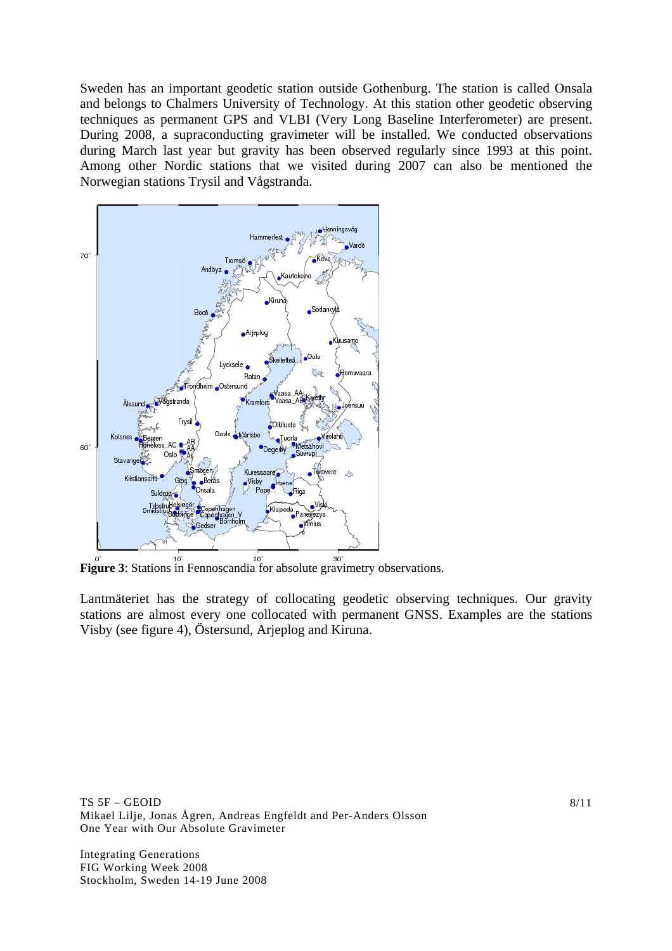Sweden has an important geodetic station outside Gothenburg. The station is called Onsala and belongs to Chalmers University of Technology. At this station other geodetic observing techniques as permanent GPS and VLBI (Very Long Baseline Interferometer) are present. During 2008, a supraconducting gravimeter will be installed. We conducted observations during March last year but gravity has been observed regularly since 1993 at this point. Among other Nordic stations that we visited during 2007 can also be mentioned the Norwegian stations Trysil and Vågstranda.



**Figure 3**: Stations in Fennoscandia for absolute gravimetry observations.

Lantmäteriet has the strategy of collocating geodetic observing techniques. Our gravity stations are almost every one collocated with permanent GNSS. Examples are the stations Visby (see figure 4), Östersund, Arjeplog and Kiruna.

TS 5F – GEOID Mikael Lilje, Jonas Ågren, Andreas Engfeldt and Per-Anders Olsson One Year with Our Absolute Gravimeter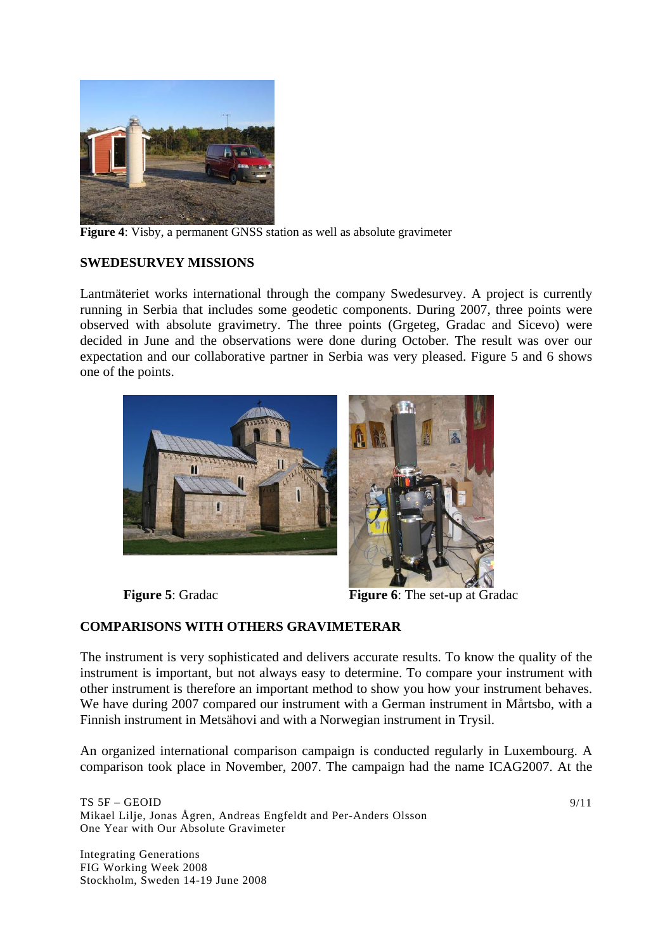

**Figure 4**: Visby, a permanent GNSS station as well as absolute gravimeter

### **SWEDESURVEY MISSIONS**

Lantmäteriet works international through the company Swedesurvey. A project is currently running in Serbia that includes some geodetic components. During 2007, three points were observed with absolute gravimetry. The three points (Grgeteg, Gradac and Sicevo) were decided in June and the observations were done during October. The result was over our expectation and our collaborative partner in Serbia was very pleased. Figure 5 and 6 shows one of the points.





**Figure 5**: Gradac **Figure 6**: The set-up at Gradac

### **COMPARISONS WITH OTHERS GRAVIMETERAR**

The instrument is very sophisticated and delivers accurate results. To know the quality of the instrument is important, but not always easy to determine. To compare your instrument with other instrument is therefore an important method to show you how your instrument behaves. We have during 2007 compared our instrument with a German instrument in Mårtsbo, with a Finnish instrument in Metsähovi and with a Norwegian instrument in Trysil.

An organized international comparison campaign is conducted regularly in Luxembourg. A comparison took place in November, 2007. The campaign had the name ICAG2007. At the

TS 5F – GEOID Mikael Lilje, Jonas Ågren, Andreas Engfeldt and Per-Anders Olsson One Year with Our Absolute Gravimeter

Integrating Generations FIG Working Week 2008 Stockholm, Sweden 14-19 June 2008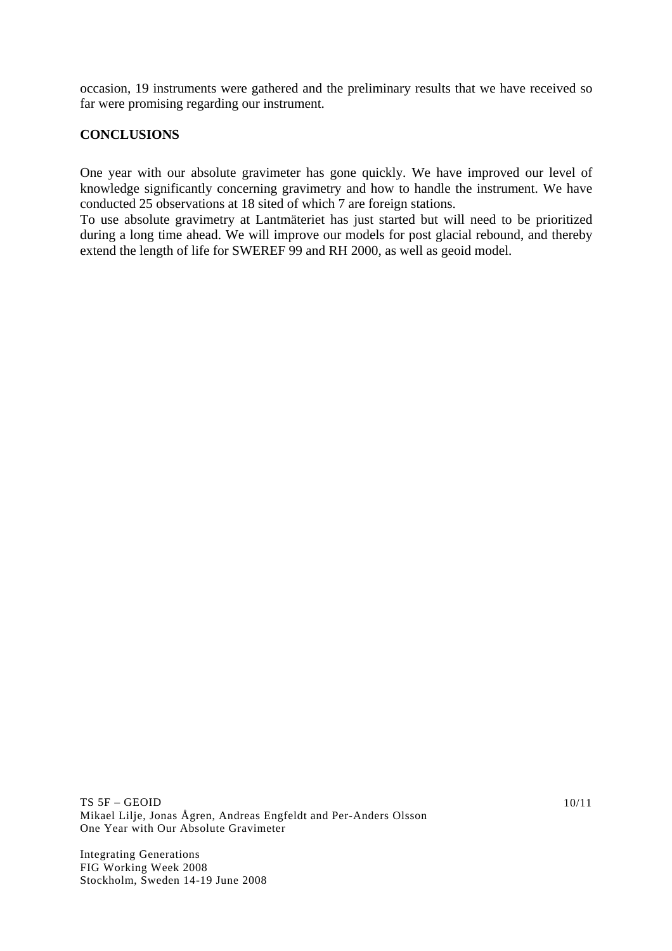occasion, 19 instruments were gathered and the preliminary results that we have received so far were promising regarding our instrument.

# **CONCLUSIONS**

One year with our absolute gravimeter has gone quickly. We have improved our level of knowledge significantly concerning gravimetry and how to handle the instrument. We have conducted 25 observations at 18 sited of which 7 are foreign stations.

To use absolute gravimetry at Lantmäteriet has just started but will need to be prioritized during a long time ahead. We will improve our models for post glacial rebound, and thereby extend the length of life for SWEREF 99 and RH 2000, as well as geoid model.

TS 5F – GEOID Mikael Lilje, Jonas Ågren, Andreas Engfeldt and Per-Anders Olsson One Year with Our Absolute Gravimeter